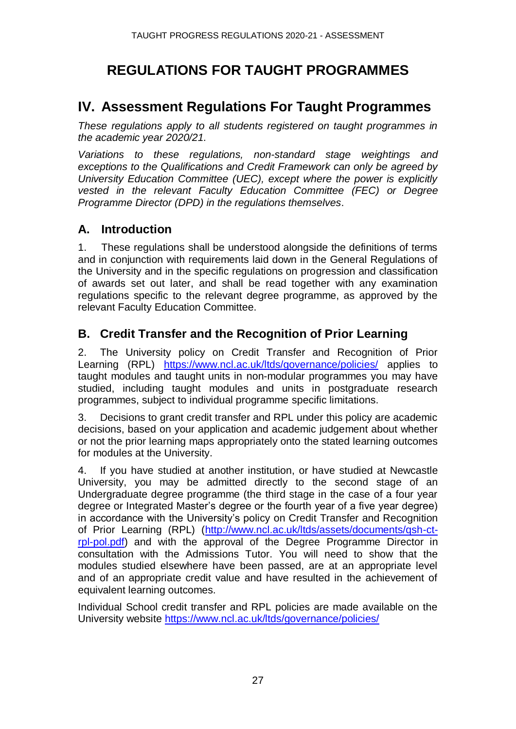# **REGULATIONS FOR TAUGHT PROGRAMMES**

# **IV. Assessment Regulations For Taught Programmes**

*These regulations apply to all students registered on taught programmes in the academic year 2020/21.*

*Variations to these regulations, non-standard stage weightings and exceptions to the Qualifications and Credit Framework can only be agreed by University Education Committee (UEC), except where the power is explicitly vested in the relevant Faculty Education Committee (FEC) or Degree Programme Director (DPD) in the regulations themselves*.

### **A. Introduction**

1. These regulations shall be understood alongside the definitions of terms and in conjunction with requirements laid down in the General Regulations of the University and in the specific regulations on progression and classification of awards set out later, and shall be read together with any examination regulations specific to the relevant degree programme, as approved by the relevant Faculty Education Committee.

### **B. Credit Transfer and the Recognition of Prior Learning**

2. The University policy on Credit Transfer and Recognition of Prior Learning (RPL) <https://www.ncl.ac.uk/ltds/governance/policies/> applies to taught modules and taught units in non-modular programmes you may have studied, including taught modules and units in postgraduate research programmes, subject to individual programme specific limitations.

3. Decisions to grant credit transfer and RPL under this policy are academic decisions, based on your application and academic judgement about whether or not the prior learning maps appropriately onto the stated learning outcomes for modules at the University.

4. If you have studied at another institution, or have studied at Newcastle University, you may be admitted directly to the second stage of an Undergraduate degree programme (the third stage in the case of a four year degree or Integrated Master's degree or the fourth year of a five year degree) in accordance with the University's policy on Credit Transfer and Recognition of Prior Learning (RPL) [\(http://www.ncl.ac.uk/ltds/assets/documents/qsh-ct](http://www.ncl.ac.uk/ltds/assets/documents/qsh-ct-rpl-pol.pdf)[rpl-pol.pdf\)](http://www.ncl.ac.uk/ltds/assets/documents/qsh-ct-rpl-pol.pdf) and with the approval of the Degree Programme Director in consultation with the Admissions Tutor. You will need to show that the modules studied elsewhere have been passed, are at an appropriate level and of an appropriate credit value and have resulted in the achievement of equivalent learning outcomes.

Individual School credit transfer and RPL policies are made available on the University website <https://www.ncl.ac.uk/ltds/governance/policies/>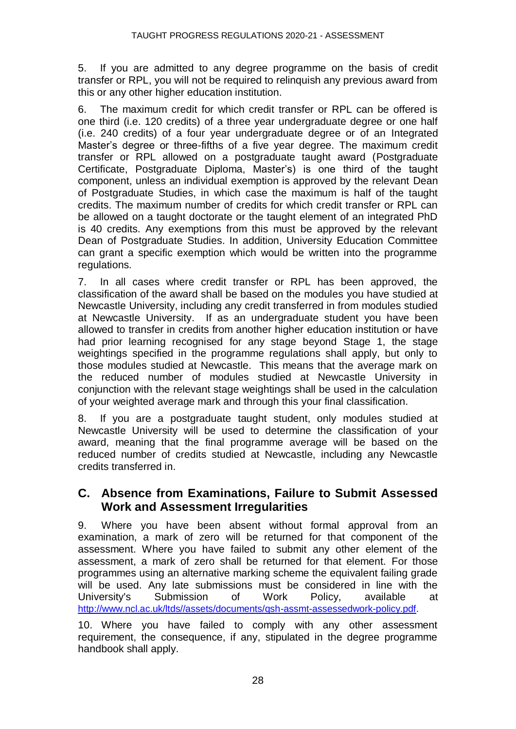5. If you are admitted to any degree programme on the basis of credit transfer or RPL, you will not be required to relinquish any previous award from this or any other higher education institution.

6. The maximum credit for which credit transfer or RPL can be offered is one third (i.e. 120 credits) of a three year undergraduate degree or one half (i.e. 240 credits) of a four year undergraduate degree or of an Integrated Master's degree or three-fifths of a five year degree. The maximum credit transfer or RPL allowed on a postgraduate taught award (Postgraduate Certificate, Postgraduate Diploma, Master's) is one third of the taught component, unless an individual exemption is approved by the relevant Dean of Postgraduate Studies, in which case the maximum is half of the taught credits. The maximum number of credits for which credit transfer or RPL can be allowed on a taught doctorate or the taught element of an integrated PhD is 40 credits. Any exemptions from this must be approved by the relevant Dean of Postgraduate Studies. In addition, University Education Committee can grant a specific exemption which would be written into the programme regulations.

7. In all cases where credit transfer or RPL has been approved, the classification of the award shall be based on the modules you have studied at Newcastle University, including any credit transferred in from modules studied at Newcastle University. If as an undergraduate student you have been allowed to transfer in credits from another higher education institution or have had prior learning recognised for any stage beyond Stage 1, the stage weightings specified in the programme regulations shall apply, but only to those modules studied at Newcastle. This means that the average mark on the reduced number of modules studied at Newcastle University in conjunction with the relevant stage weightings shall be used in the calculation of your weighted average mark and through this your final classification.

8. If you are a postgraduate taught student, only modules studied at Newcastle University will be used to determine the classification of your award, meaning that the final programme average will be based on the reduced number of credits studied at Newcastle, including any Newcastle credits transferred in.

### **C. Absence from Examinations, Failure to Submit Assessed Work and Assessment Irregularities**

9. Where you have been absent without formal approval from an examination, a mark of zero will be returned for that component of the assessment. Where you have failed to submit any other element of the assessment, a mark of zero shall be returned for that element. For those programmes using an alternative marking scheme the equivalent failing grade will be used. Any late submissions must be considered in line with the University's Submission of Work Policy, available at [http://www.ncl.ac.uk/ltds//assets/documents/qsh-assmt-assessedwork-policy.pdf.](http://www.ncl.ac.uk/ltds/assets/documents/qsh-assmt-assessedwork-policy.pdf)

10. Where you have failed to comply with any other assessment requirement, the consequence, if any, stipulated in the degree programme handbook shall apply.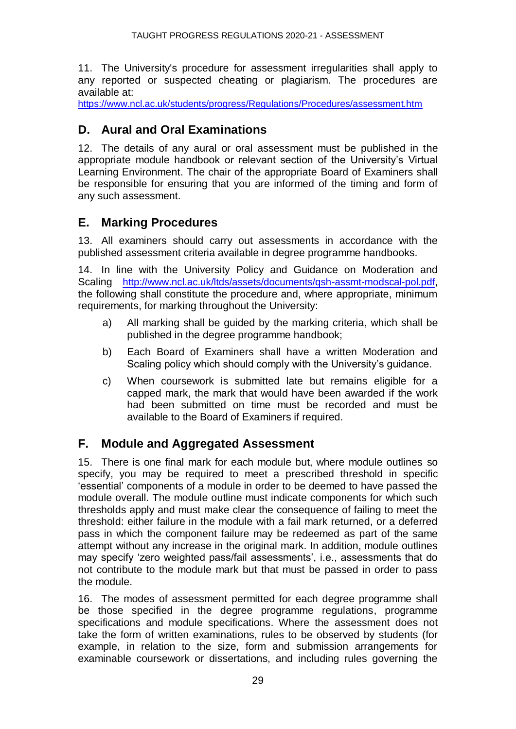11. The University's procedure for assessment irregularities shall apply to any reported or suspected cheating or plagiarism. The procedures are available at:

<https://www.ncl.ac.uk/students/progress/Regulations/Procedures/assessment.htm>

### **D. Aural and Oral Examinations**

12. The details of any aural or oral assessment must be published in the appropriate module handbook or relevant section of the University's Virtual Learning Environment. The chair of the appropriate Board of Examiners shall be responsible for ensuring that you are informed of the timing and form of any such assessment.

### **E. Marking Procedures**

13. All examiners should carry out assessments in accordance with the published assessment criteria available in degree programme handbooks.

14. In line with the University Policy and Guidance on Moderation and Scaling <http://www.ncl.ac.uk/ltds/assets/documents/qsh-assmt-modscal-pol.pdf>, the following shall constitute the procedure and, where appropriate, minimum requirements, for marking throughout the University:

- a) All marking shall be guided by the marking criteria, which shall be published in the degree programme handbook;
- b) Each Board of Examiners shall have a written Moderation and Scaling policy which should comply with the University's guidance.
- c) When coursework is submitted late but remains eligible for a capped mark, the mark that would have been awarded if the work had been submitted on time must be recorded and must be available to the Board of Examiners if required.

### **F. Module and Aggregated Assessment**

15. There is one final mark for each module but, where module outlines so specify, you may be required to meet a prescribed threshold in specific 'essential' components of a module in order to be deemed to have passed the module overall. The module outline must indicate components for which such thresholds apply and must make clear the consequence of failing to meet the threshold: either failure in the module with a fail mark returned, or a deferred pass in which the component failure may be redeemed as part of the same attempt without any increase in the original mark. In addition, module outlines may specify 'zero weighted pass/fail assessments', i.e., assessments that do not contribute to the module mark but that must be passed in order to pass the module.

16. The modes of assessment permitted for each degree programme shall be those specified in the degree programme regulations, programme specifications and module specifications. Where the assessment does not take the form of written examinations, rules to be observed by students (for example, in relation to the size, form and submission arrangements for examinable coursework or dissertations, and including rules governing the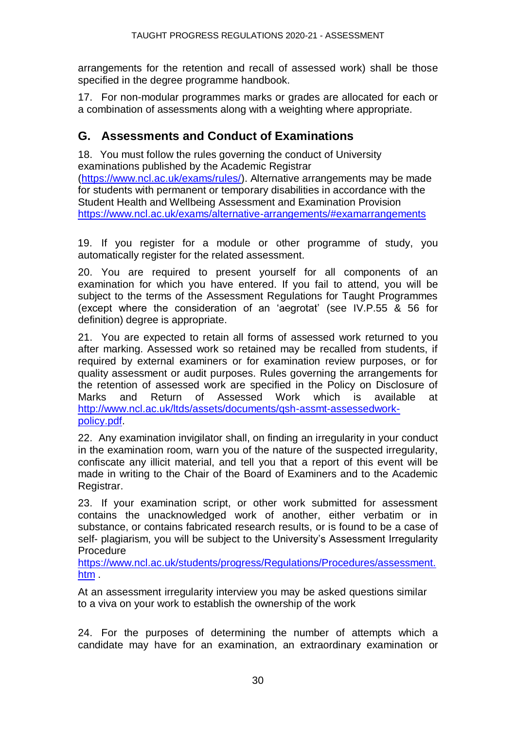arrangements for the retention and recall of assessed work) shall be those specified in the degree programme handbook.

17. For non-modular programmes marks or grades are allocated for each or a combination of assessments along with a weighting where appropriate.

### **G. Assessments and Conduct of Examinations**

18. You must follow the rules governing the conduct of University examinations published by the Academic Registrar [\(https://www.ncl.ac.uk/exams/rules/\)](https://www.ncl.ac.uk/exams/rules/). Alternative arrangements may be made for students with permanent or temporary disabilities in accordance with the Student Health and Wellbeing Assessment and Examination Provision <https://www.ncl.ac.uk/exams/alternative-arrangements/#examarrangements>

19. If you register for a module or other programme of study, you automatically register for the related assessment.

20. You are required to present yourself for all components of an examination for which you have entered. If you fail to attend, you will be subject to the terms of the Assessment Regulations for Taught Programmes (except where the consideration of an 'aegrotat' (see IV.P.55 & 56 for definition) degree is appropriate.

21. You are expected to retain all forms of assessed work returned to you after marking. Assessed work so retained may be recalled from students, if required by external examiners or for examination review purposes, or for quality assessment or audit purposes. Rules governing the arrangements for the retention of assessed work are specified in the Policy on Disclosure of Marks and Return of Assessed Work which is available at [http://www.ncl.ac.uk/ltds/assets/documents/qsh-assmt-assessedwork](http://www.ncl.ac.uk/ltds/assets/documents/qsh-assmt-assessedwork-policy.pdf)[policy.pdf.](http://www.ncl.ac.uk/ltds/assets/documents/qsh-assmt-assessedwork-policy.pdf)

22. Any examination invigilator shall, on finding an irregularity in your conduct in the examination room, warn you of the nature of the suspected irregularity, confiscate any illicit material, and tell you that a report of this event will be made in writing to the Chair of the Board of Examiners and to the Academic Registrar.

23. If your examination script, or other work submitted for assessment contains the unacknowledged work of another, either verbatim or in substance, or contains fabricated research results, or is found to be a case of self- plagiarism, you will be subject to the University's Assessment Irregularity Procedure

[https://www.ncl.ac.uk/students/progress/Regulations/Procedures/assessment.](https://www.ncl.ac.uk/students/progress/Regulations/Procedures/assessment.htm) [htm](https://www.ncl.ac.uk/students/progress/Regulations/Procedures/assessment.htm) .

At an assessment irregularity interview you may be asked questions similar to a viva on your work to establish the ownership of the work

24. For the purposes of determining the number of attempts which a candidate may have for an examination, an extraordinary examination or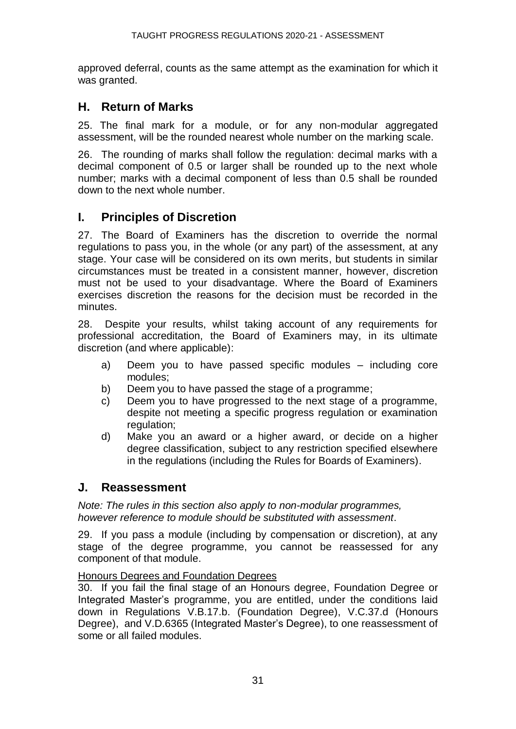approved deferral, counts as the same attempt as the examination for which it was granted.

### **H. Return of Marks**

25. The final mark for a module, or for any non-modular aggregated assessment, will be the rounded nearest whole number on the marking scale.

26. The rounding of marks shall follow the regulation: decimal marks with a decimal component of 0.5 or larger shall be rounded up to the next whole number; marks with a decimal component of less than 0.5 shall be rounded down to the next whole number.

### **I. Principles of Discretion**

27. The Board of Examiners has the discretion to override the normal regulations to pass you, in the whole (or any part) of the assessment, at any stage. Your case will be considered on its own merits, but students in similar circumstances must be treated in a consistent manner, however, discretion must not be used to your disadvantage. Where the Board of Examiners exercises discretion the reasons for the decision must be recorded in the minutes.

28. Despite your results, whilst taking account of any requirements for professional accreditation, the Board of Examiners may, in its ultimate discretion (and where applicable):

- a) Deem you to have passed specific modules including core modules;
- b) Deem you to have passed the stage of a programme;
- c) Deem you to have progressed to the next stage of a programme, despite not meeting a specific progress regulation or examination regulation:
- d) Make you an award or a higher award, or decide on a higher degree classification, subject to any restriction specified elsewhere in the regulations (including the Rules for Boards of Examiners).

#### **J. Reassessment**

*Note: The rules in this section also apply to non-modular programmes, however reference to module should be substituted with assessment*.

29. If you pass a module (including by compensation or discretion), at any stage of the degree programme, you cannot be reassessed for any component of that module.

#### Honours Degrees and Foundation Degrees

30. If you fail the final stage of an Honours degree, Foundation Degree or Integrated Master's programme, you are entitled, under the conditions laid down in Regulations V.B.17.b. (Foundation Degree), V.C.37.d (Honours Degree), and V.D.6365 (Integrated Master's Degree), to one reassessment of some or all failed modules.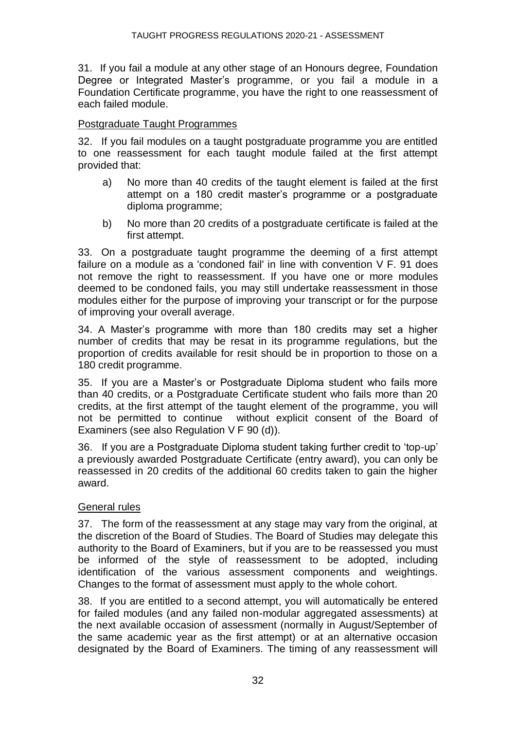31. If you fail a module at any other stage of an Honours degree, Foundation Degree or Integrated Master's programme, or you fail a module in a Foundation Certificate programme, you have the right to one reassessment of each failed module.

#### Postgraduate Taught Programmes

32. If you fail modules on a taught postgraduate programme you are entitled to one reassessment for each taught module failed at the first attempt provided that:

- a) No more than 40 credits of the taught element is failed at the first attempt on a 180 credit master's programme or a postgraduate diploma programme;
- b) No more than 20 credits of a postgraduate certificate is failed at the first attempt.

33. On a postgraduate taught programme the deeming of a first attempt failure on a module as a 'condoned fail' in line with convention V F. 91 does not remove the right to reassessment. If you have one or more modules deemed to be condoned fails, you may still undertake reassessment in those modules either for the purpose of improving your transcript or for the purpose of improving your overall average.

34. A Master's programme with more than 180 credits may set a higher number of credits that may be resat in its programme regulations, but the proportion of credits available for resit should be in proportion to those on a 180 credit programme.

35. If you are a Master's or Postgraduate Diploma student who fails more than 40 credits, or a Postgraduate Certificate student who fails more than 20 credits, at the first attempt of the taught element of the programme, you will not be permitted to continue without explicit consent of the Board of Examiners (see also Regulation V F 90 (d)).

36. If you are a Postgraduate Diploma student taking further credit to 'top-up' a previously awarded Postgraduate Certificate (entry award), you can only be reassessed in 20 credits of the additional 60 credits taken to gain the higher award.

#### General rules

37. The form of the reassessment at any stage may vary from the original, at the discretion of the Board of Studies. The Board of Studies may delegate this authority to the Board of Examiners, but if you are to be reassessed you must be informed of the style of reassessment to be adopted, including identification of the various assessment components and weightings. Changes to the format of assessment must apply to the whole cohort.

38. If you are entitled to a second attempt, you will automatically be entered for failed modules (and any failed non-modular aggregated assessments) at the next available occasion of assessment (normally in August/September of the same academic year as the first attempt) or at an alternative occasion designated by the Board of Examiners. The timing of any reassessment will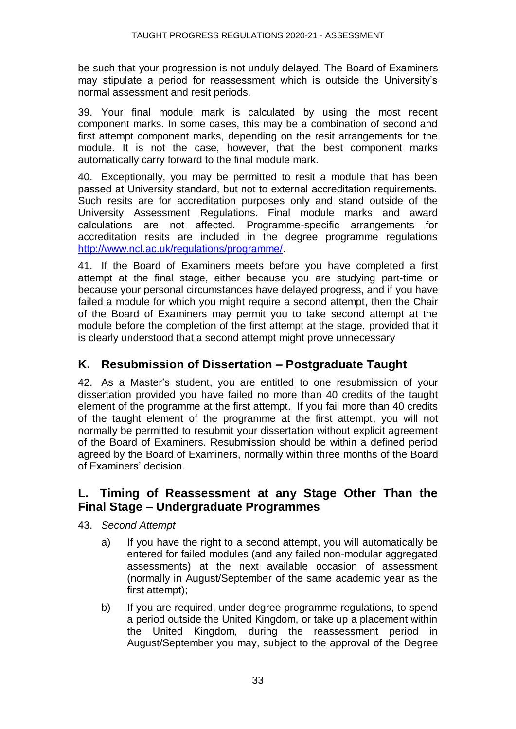be such that your progression is not unduly delayed. The Board of Examiners may stipulate a period for reassessment which is outside the University's normal assessment and resit periods.

39. Your final module mark is calculated by using the most recent component marks. In some cases, this may be a combination of second and first attempt component marks, depending on the resit arrangements for the module. It is not the case, however, that the best component marks automatically carry forward to the final module mark.

40. Exceptionally, you may be permitted to resit a module that has been passed at University standard, but not to external accreditation requirements. Such resits are for accreditation purposes only and stand outside of the University Assessment Regulations. Final module marks and award calculations are not affected. Programme-specific arrangements for accreditation resits are included in the degree programme regulations [http://www.ncl.ac.uk/regulations/programme/.](http://www.ncl.ac.uk/regulations/programme/)

41. If the Board of Examiners meets before you have completed a first attempt at the final stage, either because you are studying part-time or because your personal circumstances have delayed progress, and if you have failed a module for which you might require a second attempt, then the Chair of the Board of Examiners may permit you to take second attempt at the module before the completion of the first attempt at the stage, provided that it is clearly understood that a second attempt might prove unnecessary

### **K. Resubmission of Dissertation – Postgraduate Taught**

42. As a Master's student, you are entitled to one resubmission of your dissertation provided you have failed no more than 40 credits of the taught element of the programme at the first attempt. If you fail more than 40 credits of the taught element of the programme at the first attempt, you will not normally be permitted to resubmit your dissertation without explicit agreement of the Board of Examiners. Resubmission should be within a defined period agreed by the Board of Examiners, normally within three months of the Board of Examiners' decision.

#### **L. Timing of Reassessment at any Stage Other Than the Final Stage – Undergraduate Programmes**

43. *Second Attempt*

- a) If you have the right to a second attempt, you will automatically be entered for failed modules (and any failed non-modular aggregated assessments) at the next available occasion of assessment (normally in August/September of the same academic year as the first attempt);
- b) If you are required, under degree programme regulations, to spend a period outside the United Kingdom, or take up a placement within the United Kingdom, during the reassessment period in August/September you may, subject to the approval of the Degree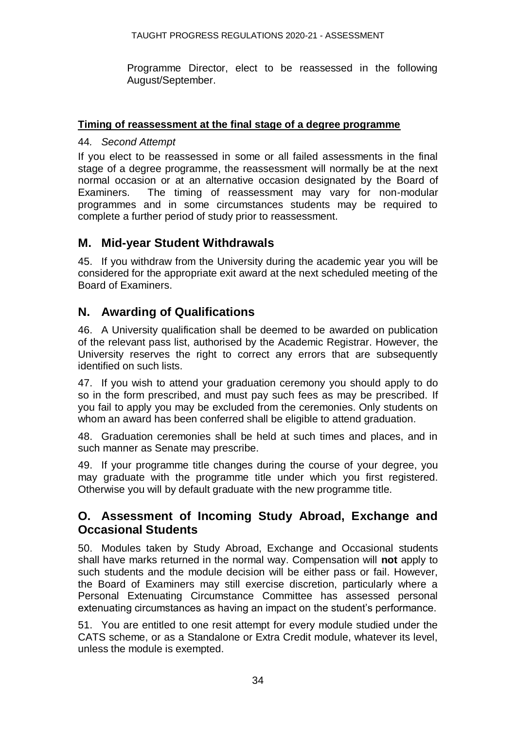Programme Director, elect to be reassessed in the following August/September.

#### **Timing of reassessment at the final stage of a degree programme**

#### 44*. Second Attempt*

If you elect to be reassessed in some or all failed assessments in the final stage of a degree programme, the reassessment will normally be at the next normal occasion or at an alternative occasion designated by the Board of Examiners. The timing of reassessment may vary for non-modular programmes and in some circumstances students may be required to complete a further period of study prior to reassessment.

#### **M. Mid-year Student Withdrawals**

45. If you withdraw from the University during the academic year you will be considered for the appropriate exit award at the next scheduled meeting of the Board of Examiners.

### **N. Awarding of Qualifications**

46. A University qualification shall be deemed to be awarded on publication of the relevant pass list, authorised by the Academic Registrar. However, the University reserves the right to correct any errors that are subsequently identified on such lists.

47. If you wish to attend your graduation ceremony you should apply to do so in the form prescribed, and must pay such fees as may be prescribed. If you fail to apply you may be excluded from the ceremonies. Only students on whom an award has been conferred shall be eligible to attend graduation.

48. Graduation ceremonies shall be held at such times and places, and in such manner as Senate may prescribe.

49. If your programme title changes during the course of your degree, you may graduate with the programme title under which you first registered. Otherwise you will by default graduate with the new programme title.

### **O. Assessment of Incoming Study Abroad, Exchange and Occasional Students**

50. Modules taken by Study Abroad, Exchange and Occasional students shall have marks returned in the normal way. Compensation will **not** apply to such students and the module decision will be either pass or fail. However, the Board of Examiners may still exercise discretion, particularly where a Personal Extenuating Circumstance Committee has assessed personal extenuating circumstances as having an impact on the student's performance.

51. You are entitled to one resit attempt for every module studied under the CATS scheme, or as a Standalone or Extra Credit module, whatever its level, unless the module is exempted.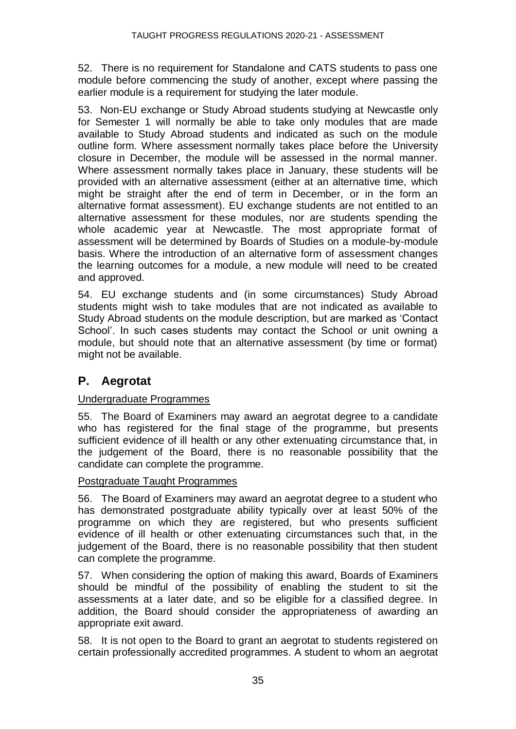52. There is no requirement for Standalone and CATS students to pass one module before commencing the study of another, except where passing the earlier module is a requirement for studying the later module.

53. Non-EU exchange or Study Abroad students studying at Newcastle only for Semester 1 will normally be able to take only modules that are made available to Study Abroad students and indicated as such on the module outline form. Where assessment normally takes place before the University closure in December, the module will be assessed in the normal manner. Where assessment normally takes place in January, these students will be provided with an alternative assessment (either at an alternative time, which might be straight after the end of term in December, or in the form an alternative format assessment). EU exchange students are not entitled to an alternative assessment for these modules, nor are students spending the whole academic year at Newcastle. The most appropriate format of assessment will be determined by Boards of Studies on a module-by-module basis. Where the introduction of an alternative form of assessment changes the learning outcomes for a module, a new module will need to be created and approved.

54. EU exchange students and (in some circumstances) Study Abroad students might wish to take modules that are not indicated as available to Study Abroad students on the module description, but are marked as 'Contact School'. In such cases students may contact the School or unit owning a module, but should note that an alternative assessment (by time or format) might not be available.

## **P. Aegrotat**

#### Undergraduate Programmes

55. The Board of Examiners may award an aegrotat degree to a candidate who has registered for the final stage of the programme, but presents sufficient evidence of ill health or any other extenuating circumstance that, in the judgement of the Board, there is no reasonable possibility that the candidate can complete the programme.

#### Postgraduate Taught Programmes

56. The Board of Examiners may award an aegrotat degree to a student who has demonstrated postgraduate ability typically over at least 50% of the programme on which they are registered, but who presents sufficient evidence of ill health or other extenuating circumstances such that, in the judgement of the Board, there is no reasonable possibility that then student can complete the programme.

57. When considering the option of making this award, Boards of Examiners should be mindful of the possibility of enabling the student to sit the assessments at a later date, and so be eligible for a classified degree. In addition, the Board should consider the appropriateness of awarding an appropriate exit award.

58. It is not open to the Board to grant an aegrotat to students registered on certain professionally accredited programmes. A student to whom an aegrotat